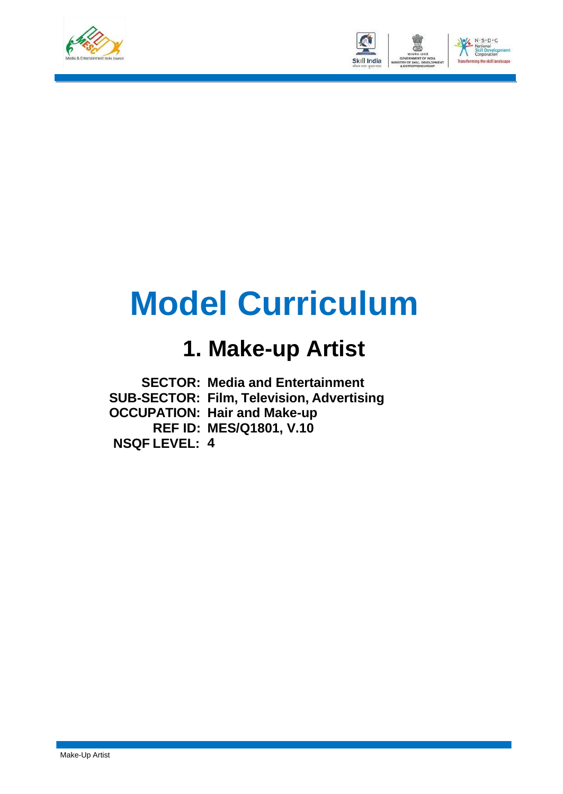



## **Model Curriculum**

### **1. Make-up Artist**

**SECTOR: Media and Entertainment SUB-SECTOR: Film, Television, Advertising OCCUPATION: Hair and Make-up REF ID: MES/Q1801, V.10 NSQF LEVEL: 4**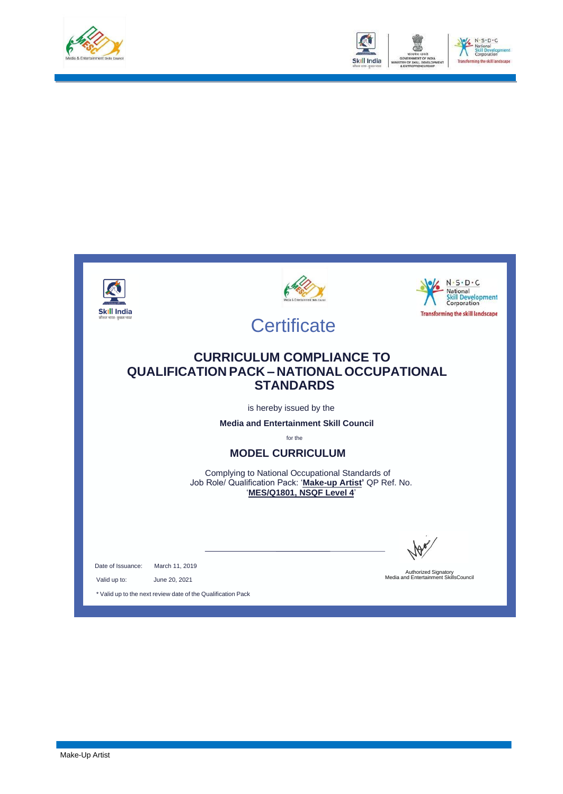



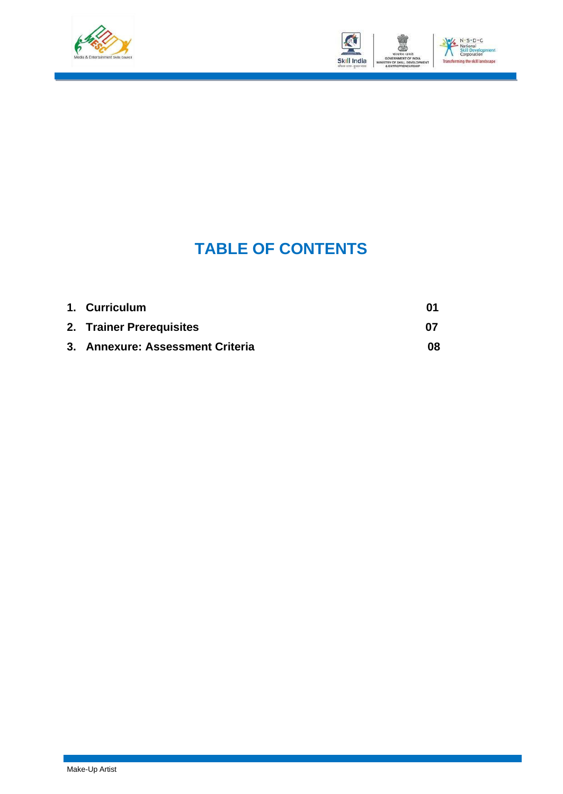



### **TABLE OF CONTENTS**

| 1. Curriculum                    | 01  |
|----------------------------------|-----|
| 2. Trainer Prerequisites         | -07 |
| 3. Annexure: Assessment Criteria | 08  |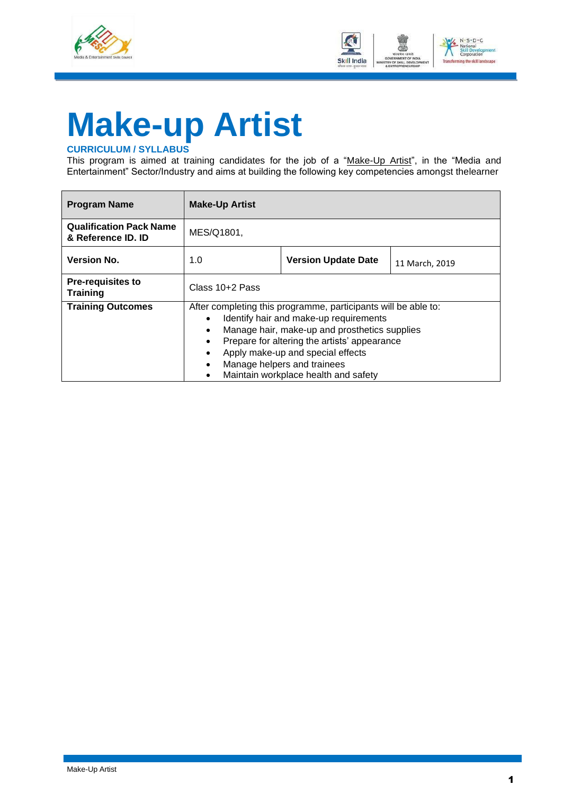



# <span id="page-3-0"></span>**Make-up Artist**

#### **CURRICULUM / SYLLABUS**

This program is aimed at training candidates for the job of a "Make-Up Artist", in the "Media and Entertainment" Sector/Industry and aims at building the following key competencies amongst thelearner

| <b>Program Name</b>                                  | <b>Make-Up Artist</b>                                                                                                                                                                                                                                                                                                                           |  |  |  |  |  |
|------------------------------------------------------|-------------------------------------------------------------------------------------------------------------------------------------------------------------------------------------------------------------------------------------------------------------------------------------------------------------------------------------------------|--|--|--|--|--|
| <b>Qualification Pack Name</b><br>& Reference ID. ID | MES/Q1801,                                                                                                                                                                                                                                                                                                                                      |  |  |  |  |  |
| <b>Version No.</b>                                   | <b>Version Update Date</b><br>1.0<br>11 March, 2019                                                                                                                                                                                                                                                                                             |  |  |  |  |  |
| <b>Pre-requisites to</b><br><b>Training</b>          | Class 10+2 Pass                                                                                                                                                                                                                                                                                                                                 |  |  |  |  |  |
| <b>Training Outcomes</b>                             | After completing this programme, participants will be able to:<br>Identify hair and make-up requirements<br>Manage hair, make-up and prosthetics supplies<br>Prepare for altering the artists' appearance<br>Apply make-up and special effects<br>Manage helpers and trainees<br>$\bullet$<br>Maintain workplace health and safety<br>$\bullet$ |  |  |  |  |  |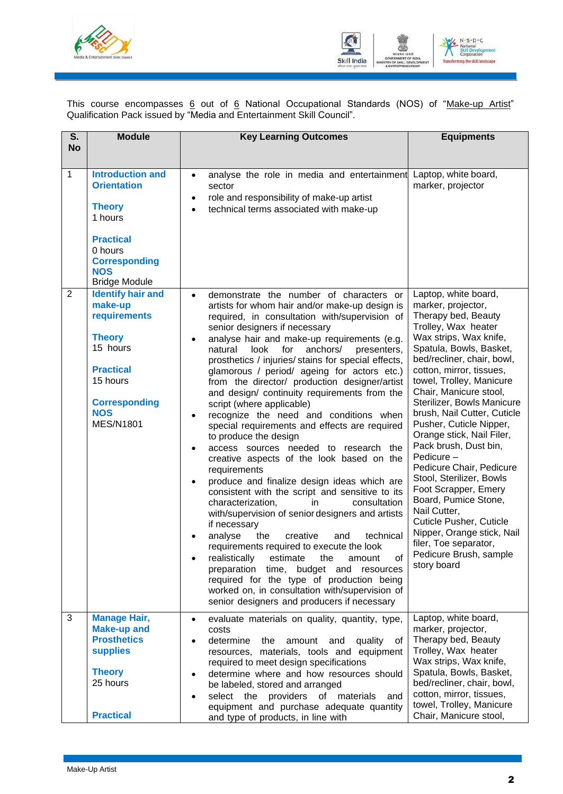



This course encompasses <u>6</u> out of <u>6</u> National Occupational Standards (NOS) of "<u>Make-up Artist</u>" Qualification Pack issued by "Media and Entertainment Skill Council".

| S.<br><b>No</b> | <b>Module</b>                                                                                                                                                              | <b>Key Learning Outcomes</b>                                                                                                                                                                                                                                                                                                                                                                                                                                                                                                                                                                                                                                                                                                                                                                                                                                                                                                                                                                                                                                                                                                                                                                                                                                                                                                                                  | <b>Equipments</b>                                                                                                                                                                                                                                                                                                                                                                                                                                                                                                                                                                                                                                                                   |
|-----------------|----------------------------------------------------------------------------------------------------------------------------------------------------------------------------|---------------------------------------------------------------------------------------------------------------------------------------------------------------------------------------------------------------------------------------------------------------------------------------------------------------------------------------------------------------------------------------------------------------------------------------------------------------------------------------------------------------------------------------------------------------------------------------------------------------------------------------------------------------------------------------------------------------------------------------------------------------------------------------------------------------------------------------------------------------------------------------------------------------------------------------------------------------------------------------------------------------------------------------------------------------------------------------------------------------------------------------------------------------------------------------------------------------------------------------------------------------------------------------------------------------------------------------------------------------|-------------------------------------------------------------------------------------------------------------------------------------------------------------------------------------------------------------------------------------------------------------------------------------------------------------------------------------------------------------------------------------------------------------------------------------------------------------------------------------------------------------------------------------------------------------------------------------------------------------------------------------------------------------------------------------|
| 1               | <b>Introduction and</b><br><b>Orientation</b><br><b>Theory</b><br>1 hours<br><b>Practical</b><br>0 hours<br><b>Corresponding</b><br><b>NOS</b><br><b>Bridge Module</b>     | analyse the role in media and entertainment<br>$\bullet$<br>sector<br>role and responsibility of make-up artist<br>$\bullet$<br>technical terms associated with make-up<br>$\bullet$                                                                                                                                                                                                                                                                                                                                                                                                                                                                                                                                                                                                                                                                                                                                                                                                                                                                                                                                                                                                                                                                                                                                                                          | Laptop, white board,<br>marker, projector                                                                                                                                                                                                                                                                                                                                                                                                                                                                                                                                                                                                                                           |
| $\overline{2}$  | <b>Identify hair and</b><br>make-up<br>requirements<br><b>Theory</b><br>15 hours<br><b>Practical</b><br>15 hours<br><b>Corresponding</b><br><b>NOS</b><br><b>MES/N1801</b> | demonstrate the number of characters or<br>$\bullet$<br>artists for whom hair and/or make-up design is<br>required, in consultation with/supervision of<br>senior designers if necessary<br>analyse hair and make-up requirements (e.g.<br>$\bullet$<br>natural<br>look<br>for<br>anchors/<br>presenters,<br>prosthetics / injuries/ stains for special effects,<br>glamorous / period/ ageing for actors etc.)<br>from the director/ production designer/artist<br>and design/ continuity requirements from the<br>script (where applicable)<br>recognize the need and conditions when<br>٠<br>special requirements and effects are required<br>to produce the design<br>access sources needed to research the<br>$\bullet$<br>creative aspects of the look based on the<br>requirements<br>produce and finalize design ideas which are<br>٠<br>consistent with the script and sensitive to its<br>characterization,<br>consultation<br>in<br>with/supervision of senior designers and artists<br>if necessary<br>the<br>creative<br>technical<br>analyse<br>and<br>requirements required to execute the look<br>οf<br>realistically<br>estimate<br>the<br>amount<br>preparation time,<br>budget and resources<br>required for the type of production being<br>worked on, in consultation with/supervision of<br>senior designers and producers if necessary | Laptop, white board,<br>marker, projector,<br>Therapy bed, Beauty<br>Trolley, Wax heater<br>Wax strips, Wax knife,<br>Spatula, Bowls, Basket,<br>bed/recliner, chair, bowl,<br>cotton, mirror, tissues,<br>towel, Trolley, Manicure<br>Chair, Manicure stool,<br>Sterilizer, Bowls Manicure<br>brush, Nail Cutter, Cuticle<br>Pusher, Cuticle Nipper,<br>Orange stick, Nail Filer,<br>Pack brush, Dust bin,<br>Pedicure -<br>Pedicure Chair, Pedicure<br>Stool, Sterilizer, Bowls<br>Foot Scrapper, Emery<br>Board, Pumice Stone,<br>Nail Cutter,<br><b>Cuticle Pusher, Cuticle</b><br>Nipper, Orange stick, Nail<br>filer, Toe separator,<br>Pedicure Brush, sample<br>story board |
| 3               | <b>Manage Hair,</b><br><b>Make-up and</b><br><b>Prosthetics</b><br><b>supplies</b><br><b>Theory</b><br>25 hours<br><b>Practical</b>                                        | evaluate materials on quality, quantity, type,<br>$\bullet$<br>costs<br>determine<br>the<br>amount<br>and<br>quality<br>of<br>resources, materials, tools and equipment<br>required to meet design specifications<br>determine where and how resources should<br>$\bullet$<br>be labeled, stored and arranged<br>select the providers of materials<br>and<br>$\bullet$<br>equipment and purchase adequate quantity<br>and type of products, in line with                                                                                                                                                                                                                                                                                                                                                                                                                                                                                                                                                                                                                                                                                                                                                                                                                                                                                                      | Laptop, white board,<br>marker, projector,<br>Therapy bed, Beauty<br>Trolley, Wax heater<br>Wax strips, Wax knife,<br>Spatula, Bowls, Basket,<br>bed/recliner, chair, bowl,<br>cotton, mirror, tissues,<br>towel, Trolley, Manicure<br>Chair, Manicure stool,                                                                                                                                                                                                                                                                                                                                                                                                                       |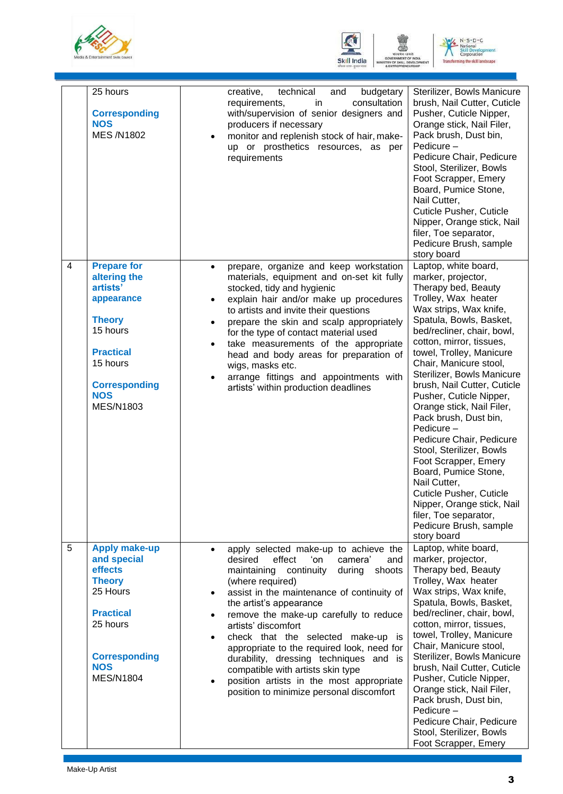





|                | 25 hours<br><b>Corresponding</b><br><b>NOS</b><br><b>MES/N1802</b>                                                                                                                  |                                     | technical<br>budgetary<br>creative,<br>and<br>consultation<br>requirements,<br>in<br>with/supervision of senior designers and<br>producers if necessary<br>monitor and replenish stock of hair, make-<br>up or prosthetics resources, as per<br>requirements                                                                                                                                                                                                                                                                                               | Sterilizer, Bowls Manicure<br>brush, Nail Cutter, Cuticle<br>Pusher, Cuticle Nipper,<br>Orange stick, Nail Filer,<br>Pack brush, Dust bin,<br>Pedicure -<br>Pedicure Chair, Pedicure<br>Stool, Sterilizer, Bowls<br>Foot Scrapper, Emery<br>Board, Pumice Stone,<br>Nail Cutter,<br><b>Cuticle Pusher, Cuticle</b><br>Nipper, Orange stick, Nail<br>filer, Toe separator,<br>Pedicure Brush, sample<br>story board                                                                                                                                                                                                                                                                  |
|----------------|-------------------------------------------------------------------------------------------------------------------------------------------------------------------------------------|-------------------------------------|------------------------------------------------------------------------------------------------------------------------------------------------------------------------------------------------------------------------------------------------------------------------------------------------------------------------------------------------------------------------------------------------------------------------------------------------------------------------------------------------------------------------------------------------------------|-------------------------------------------------------------------------------------------------------------------------------------------------------------------------------------------------------------------------------------------------------------------------------------------------------------------------------------------------------------------------------------------------------------------------------------------------------------------------------------------------------------------------------------------------------------------------------------------------------------------------------------------------------------------------------------|
| $\overline{4}$ | <b>Prepare for</b><br>altering the<br>artists'<br>appearance<br><b>Theory</b><br>15 hours<br><b>Practical</b><br>15 hours<br><b>Corresponding</b><br><b>NOS</b><br><b>MES/N1803</b> | $\bullet$<br>$\bullet$<br>$\bullet$ | prepare, organize and keep workstation<br>materials, equipment and on-set kit fully<br>stocked, tidy and hygienic<br>explain hair and/or make up procedures<br>to artists and invite their questions<br>prepare the skin and scalp appropriately<br>for the type of contact material used<br>take measurements of the appropriate<br>head and body areas for preparation of<br>wigs, masks etc.<br>arrange fittings and appointments with<br>artists' within production deadlines                                                                          | Laptop, white board,<br>marker, projector,<br>Therapy bed, Beauty<br>Trolley, Wax heater<br>Wax strips, Wax knife,<br>Spatula, Bowls, Basket,<br>bed/recliner, chair, bowl,<br>cotton, mirror, tissues,<br>towel, Trolley, Manicure<br>Chair, Manicure stool,<br>Sterilizer, Bowls Manicure<br>brush, Nail Cutter, Cuticle<br>Pusher, Cuticle Nipper,<br>Orange stick, Nail Filer,<br>Pack brush, Dust bin,<br>Pedicure -<br>Pedicure Chair, Pedicure<br>Stool, Sterilizer, Bowls<br>Foot Scrapper, Emery<br>Board, Pumice Stone,<br>Nail Cutter,<br><b>Cuticle Pusher, Cuticle</b><br>Nipper, Orange stick, Nail<br>filer, Toe separator,<br>Pedicure Brush, sample<br>story board |
| 5              | <b>Apply make-up</b><br>and special<br>effects<br><b>Theory</b><br>25 Hours<br><b>Practical</b><br>25 hours<br><b>Corresponding</b><br><b>NOS</b><br><b>MES/N1804</b>               | $\bullet$                           | apply selected make-up to achieve the<br>desired<br>effect<br>ʻon<br>camera'<br>and<br>maintaining continuity<br>during<br>shoots<br>(where required)<br>assist in the maintenance of continuity of<br>the artist's appearance<br>remove the make-up carefully to reduce<br>artists' discomfort<br>check that the selected make-up is<br>appropriate to the required look, need for<br>durability, dressing techniques and is<br>compatible with artists skin type<br>position artists in the most appropriate<br>position to minimize personal discomfort | Laptop, white board,<br>marker, projector,<br>Therapy bed, Beauty<br>Trolley, Wax heater<br>Wax strips, Wax knife,<br>Spatula, Bowls, Basket,<br>bed/recliner, chair, bowl,<br>cotton, mirror, tissues,<br>towel, Trolley, Manicure<br>Chair, Manicure stool,<br>Sterilizer, Bowls Manicure<br>brush, Nail Cutter, Cuticle<br>Pusher, Cuticle Nipper,<br>Orange stick, Nail Filer,<br>Pack brush, Dust bin,<br>Pedicure-<br>Pedicure Chair, Pedicure<br>Stool, Sterilizer, Bowls<br>Foot Scrapper, Emery                                                                                                                                                                            |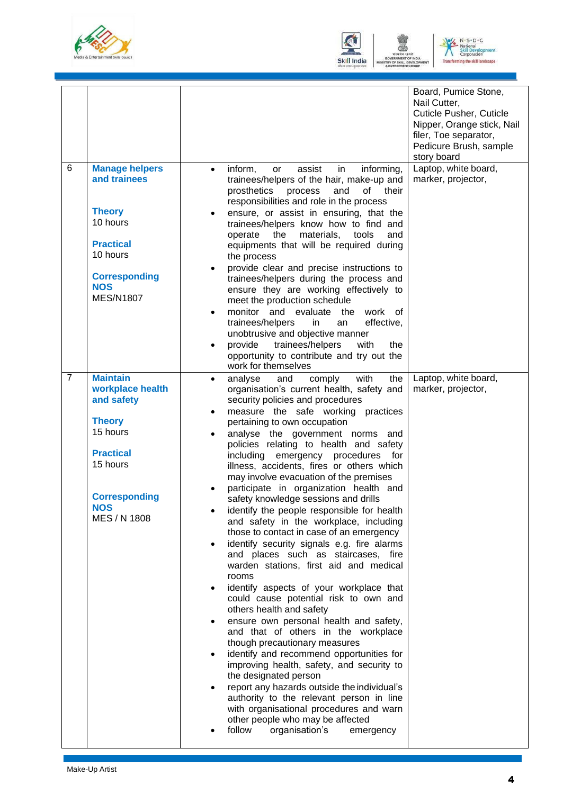





|                |                                                                                                                                                                      |                                                                    |                                                                                                                                                                                                                                                                                                                                                                                                                                                                                                                                                                                                                                                                                                                                                                                                                                                                                                                                                                                                                                                                                                                                                                                                                                                                                                                                                      | Board, Pumice Stone,<br>Nail Cutter,<br><b>Cuticle Pusher, Cuticle</b><br>Nipper, Orange stick, Nail<br>filer, Toe separator,<br>Pedicure Brush, sample<br>story board |
|----------------|----------------------------------------------------------------------------------------------------------------------------------------------------------------------|--------------------------------------------------------------------|------------------------------------------------------------------------------------------------------------------------------------------------------------------------------------------------------------------------------------------------------------------------------------------------------------------------------------------------------------------------------------------------------------------------------------------------------------------------------------------------------------------------------------------------------------------------------------------------------------------------------------------------------------------------------------------------------------------------------------------------------------------------------------------------------------------------------------------------------------------------------------------------------------------------------------------------------------------------------------------------------------------------------------------------------------------------------------------------------------------------------------------------------------------------------------------------------------------------------------------------------------------------------------------------------------------------------------------------------|------------------------------------------------------------------------------------------------------------------------------------------------------------------------|
| 6              | <b>Manage helpers</b><br>and trainees<br><b>Theory</b><br>10 hours<br><b>Practical</b><br>10 hours<br><b>Corresponding</b><br><b>NOS</b><br><b>MES/N1807</b>         | $\bullet$<br>٠<br>$\bullet$<br>$\bullet$<br>$\bullet$              | in<br>informing,<br>inform,<br>assist<br>or<br>trainees/helpers of the hair, make-up and<br>prosthetics<br>of<br>process<br>and<br>their<br>responsibilities and role in the process<br>ensure, or assist in ensuring, that the<br>trainees/helpers know how to find and<br>materials,<br>operate<br>the<br>tools<br>and<br>equipments that will be required during<br>the process<br>provide clear and precise instructions to<br>trainees/helpers during the process and<br>ensure they are working effectively to<br>meet the production schedule<br>monitor and evaluate<br>the<br>work of<br>trainees/helpers<br>effective,<br>in<br>an<br>unobtrusive and objective manner<br>provide<br>trainees/helpers<br>with<br>the<br>opportunity to contribute and try out the<br>work for themselves                                                                                                                                                                                                                                                                                                                                                                                                                                                                                                                                                   | Laptop, white board,<br>marker, projector,                                                                                                                             |
| $\overline{7}$ | <b>Maintain</b><br>workplace health<br>and safety<br><b>Theory</b><br>15 hours<br><b>Practical</b><br>15 hours<br><b>Corresponding</b><br><b>NOS</b><br>MES / N 1808 | $\bullet$<br>$\bullet$<br>$\bullet$<br>٠<br>$\bullet$<br>$\bullet$ | with<br>comply<br>the<br>analyse<br>and<br>organisation's current health, safety and<br>security policies and procedures<br>measure the safe working practices<br>pertaining to own occupation<br>analyse the government norms and<br>policies relating to health and safety<br>including<br>emergency<br>procedures for<br>illness, accidents, fires or others which<br>may involve evacuation of the premises<br>participate in organization health and<br>safety knowledge sessions and drills<br>identify the people responsible for health<br>and safety in the workplace, including<br>those to contact in case of an emergency<br>identify security signals e.g. fire alarms<br>and places such as staircases, fire<br>warden stations, first aid and medical<br>rooms<br>identify aspects of your workplace that<br>could cause potential risk to own and<br>others health and safety<br>ensure own personal health and safety,<br>and that of others in the workplace<br>though precautionary measures<br>identify and recommend opportunities for<br>improving health, safety, and security to<br>the designated person<br>report any hazards outside the individual's<br>authority to the relevant person in line<br>with organisational procedures and warn<br>other people who may be affected<br>follow<br>organisation's<br>emergency | Laptop, white board,<br>marker, projector,                                                                                                                             |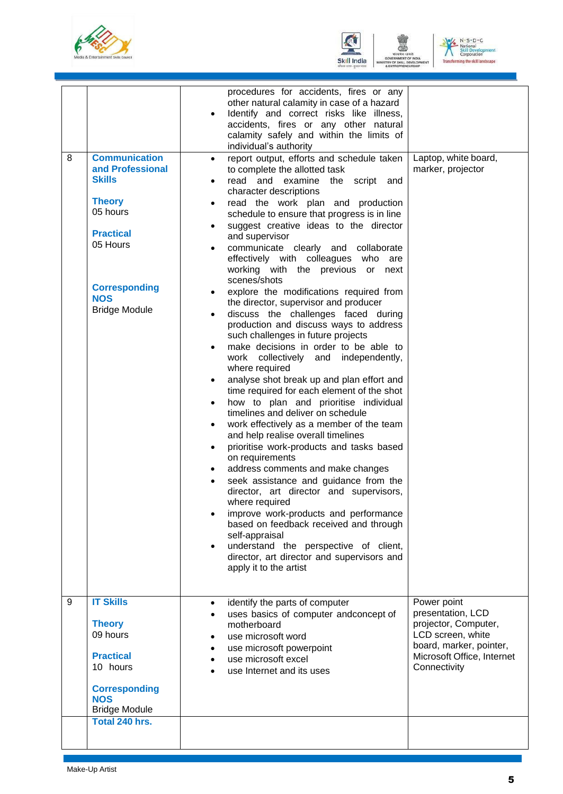





| 8 | <b>Communication</b><br>and Professional<br><b>Skills</b><br><b>Theory</b><br>05 hours<br><b>Practical</b><br>05 Hours<br><b>Corresponding</b><br><b>NOS</b><br><b>Bridge Module</b> | procedures for accidents, fires or any<br>other natural calamity in case of a hazard<br>Identify and correct risks like illness,<br>$\bullet$<br>accidents, fires or any other natural<br>calamity safely and within the limits of<br>individual's authority<br>report output, efforts and schedule taken<br>$\bullet$<br>to complete the allotted task<br>read and examine<br>the<br>script and<br>$\bullet$<br>character descriptions<br>read the work plan and production<br>$\bullet$<br>schedule to ensure that progress is in line<br>suggest creative ideas to the director<br>$\bullet$<br>and supervisor<br>communicate clearly and collaborate<br>effectively with colleagues who<br>are<br>working with the previous or<br>next<br>scenes/shots<br>explore the modifications required from<br>the director, supervisor and producer<br>discuss the challenges faced during<br>production and discuss ways to address<br>such challenges in future projects<br>make decisions in order to be able to<br>$\bullet$<br>work collectively and<br>independently,<br>where required<br>analyse shot break up and plan effort and<br>$\bullet$<br>time required for each element of the shot<br>how to plan and prioritise individual<br>$\bullet$<br>timelines and deliver on schedule<br>work effectively as a member of the team<br>$\bullet$<br>and help realise overall timelines<br>prioritise work-products and tasks based<br>$\bullet$<br>on requirements | Laptop, white board,<br>marker, projector                                                                                                              |
|---|--------------------------------------------------------------------------------------------------------------------------------------------------------------------------------------|------------------------------------------------------------------------------------------------------------------------------------------------------------------------------------------------------------------------------------------------------------------------------------------------------------------------------------------------------------------------------------------------------------------------------------------------------------------------------------------------------------------------------------------------------------------------------------------------------------------------------------------------------------------------------------------------------------------------------------------------------------------------------------------------------------------------------------------------------------------------------------------------------------------------------------------------------------------------------------------------------------------------------------------------------------------------------------------------------------------------------------------------------------------------------------------------------------------------------------------------------------------------------------------------------------------------------------------------------------------------------------------------------------------------------------------------------------------------|--------------------------------------------------------------------------------------------------------------------------------------------------------|
|   |                                                                                                                                                                                      | seek assistance and guidance from the<br>$\bullet$<br>director, art director and supervisors,<br>where required<br>improve work-products and performance<br>based on feedback received and through<br>self-appraisal<br>understand the perspective of client,<br>director, art director and supervisors and<br>apply it to the artist                                                                                                                                                                                                                                                                                                                                                                                                                                                                                                                                                                                                                                                                                                                                                                                                                                                                                                                                                                                                                                                                                                                                  |                                                                                                                                                        |
| 9 | <b>IT Skills</b><br><b>Theory</b><br>09 hours<br><b>Practical</b><br>10 hours<br><b>Corresponding</b><br><b>NOS</b><br><b>Bridge Module</b>                                          | identify the parts of computer<br>$\bullet$<br>uses basics of computer andconcept of<br>motherboard<br>use microsoft word<br>use microsoft powerpoint<br>use microsoft excel<br>use Internet and its uses                                                                                                                                                                                                                                                                                                                                                                                                                                                                                                                                                                                                                                                                                                                                                                                                                                                                                                                                                                                                                                                                                                                                                                                                                                                              | Power point<br>presentation, LCD<br>projector, Computer,<br>LCD screen, white<br>board, marker, pointer,<br>Microsoft Office, Internet<br>Connectivity |
|   | Total 240 hrs.                                                                                                                                                                       |                                                                                                                                                                                                                                                                                                                                                                                                                                                                                                                                                                                                                                                                                                                                                                                                                                                                                                                                                                                                                                                                                                                                                                                                                                                                                                                                                                                                                                                                        |                                                                                                                                                        |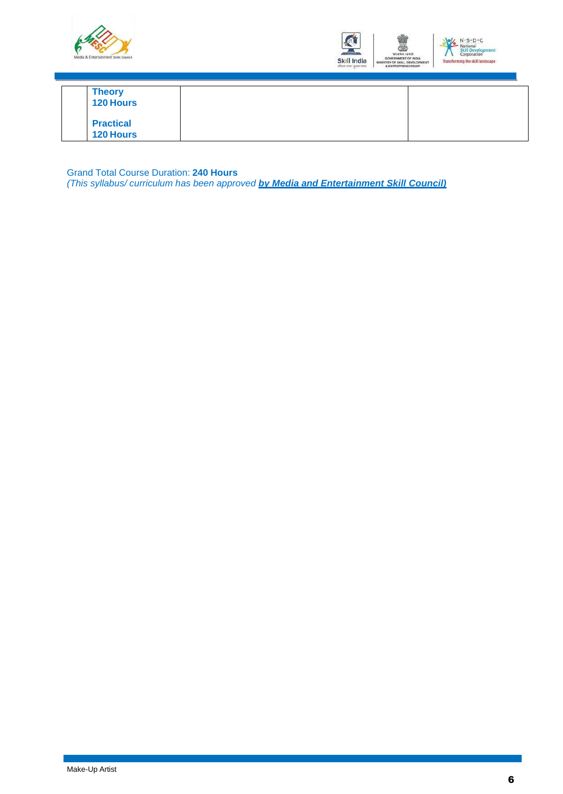



| <b>Theory</b><br><b>120 Hours</b>    |  |  |  |
|--------------------------------------|--|--|--|
| <b>Practical</b><br><b>120 Hours</b> |  |  |  |

Grand Total Course Duration: **240 Hours**

*(This syllabus/ curriculum has been approved by Media and Entertainment Skill Council)*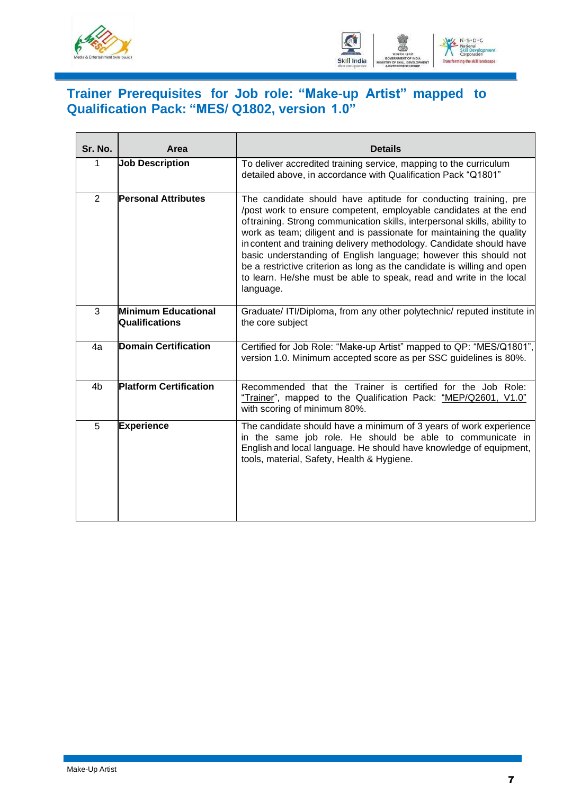



### <span id="page-9-0"></span>**Trainer Prerequisites for Job role: "Make-up Artist" mapped to Qualification Pack: "MES/ Q1802, version 1.0"**

| Sr. No.        | Area                                  | <b>Details</b>                                                                                                                                                                                                                                                                                                                                                                                                                                                                                                                                                                                      |
|----------------|---------------------------------------|-----------------------------------------------------------------------------------------------------------------------------------------------------------------------------------------------------------------------------------------------------------------------------------------------------------------------------------------------------------------------------------------------------------------------------------------------------------------------------------------------------------------------------------------------------------------------------------------------------|
| $\mathbf 1$    | <b>Job Description</b>                | To deliver accredited training service, mapping to the curriculum<br>detailed above, in accordance with Qualification Pack "Q1801"                                                                                                                                                                                                                                                                                                                                                                                                                                                                  |
| 2              | <b>Personal Attributes</b>            | The candidate should have aptitude for conducting training, pre<br>/post work to ensure competent, employable candidates at the end<br>of training. Strong communication skills, interpersonal skills, ability to<br>work as team; diligent and is passionate for maintaining the quality<br>in content and training delivery methodology. Candidate should have<br>basic understanding of English language; however this should not<br>be a restrictive criterion as long as the candidate is willing and open<br>to learn. He/she must be able to speak, read and write in the local<br>language. |
| 3              | Minimum Educational<br>Qualifications | Graduate/ ITI/Diploma, from any other polytechnic/ reputed institute in<br>the core subject                                                                                                                                                                                                                                                                                                                                                                                                                                                                                                         |
| 4a             | <b>Domain Certification</b>           | Certified for Job Role: "Make-up Artist" mapped to QP: "MES/Q1801",<br>version 1.0. Minimum accepted score as per SSC guidelines is 80%.                                                                                                                                                                                                                                                                                                                                                                                                                                                            |
| 4 <sub>b</sub> | <b>Platform Certification</b>         | Recommended that the Trainer is certified for the Job Role:<br>"Trainer", mapped to the Qualification Pack: "MEP/Q2601, V1.0"<br>with scoring of minimum 80%.                                                                                                                                                                                                                                                                                                                                                                                                                                       |
| 5              | <b>Experience</b>                     | The candidate should have a minimum of 3 years of work experience<br>in the same job role. He should be able to communicate in<br>English and local language. He should have knowledge of equipment,<br>tools, material, Safety, Health & Hygiene.                                                                                                                                                                                                                                                                                                                                                  |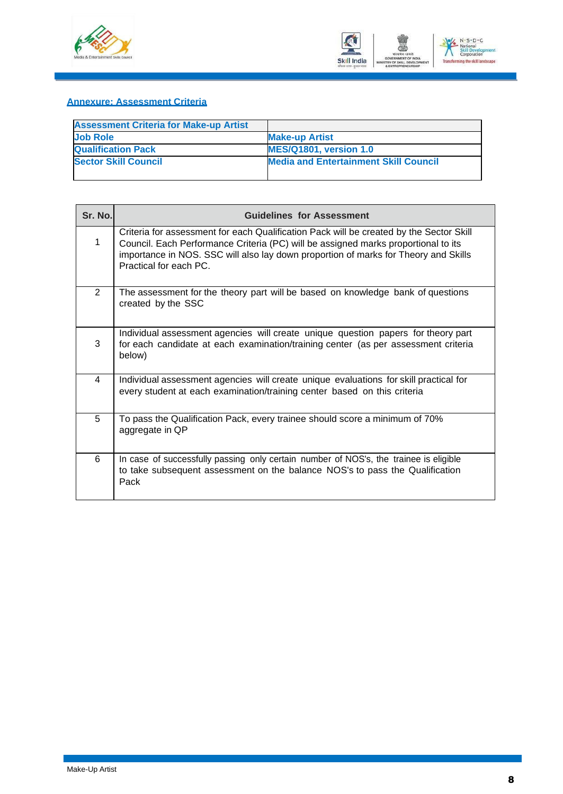



#### <span id="page-10-0"></span>**Annexure: Assessment Criteria**

| <b>Assessment Criteria for Make-up Artist</b> |                                              |
|-----------------------------------------------|----------------------------------------------|
| <b>Job Role</b>                               | <b>Make-up Artist</b>                        |
| <b>Qualification Pack</b>                     | <b>MES/Q1801, version 1.0</b>                |
| <b>Sector Skill Council</b>                   | <b>Media and Entertainment Skill Council</b> |
|                                               |                                              |

| Sr. No.        | <b>Guidelines for Assessment</b>                                                                                                                                                                                                                                                               |
|----------------|------------------------------------------------------------------------------------------------------------------------------------------------------------------------------------------------------------------------------------------------------------------------------------------------|
| $\mathbf 1$    | Criteria for assessment for each Qualification Pack will be created by the Sector Skill<br>Council. Each Performance Criteria (PC) will be assigned marks proportional to its<br>importance in NOS. SSC will also lay down proportion of marks for Theory and Skills<br>Practical for each PC. |
| $\overline{2}$ | The assessment for the theory part will be based on knowledge bank of questions<br>created by the SSC                                                                                                                                                                                          |
| 3              | Individual assessment agencies will create unique question papers for theory part<br>for each candidate at each examination/training center (as per assessment criteria<br>below)                                                                                                              |
| 4              | Individual assessment agencies will create unique evaluations for skill practical for<br>every student at each examination/training center based on this criteria                                                                                                                              |
| 5              | To pass the Qualification Pack, every trainee should score a minimum of 70%<br>aggregate in QP                                                                                                                                                                                                 |
| 6              | In case of successfully passing only certain number of NOS's, the trainee is eligible<br>to take subsequent assessment on the balance NOS's to pass the Qualification<br>Pack                                                                                                                  |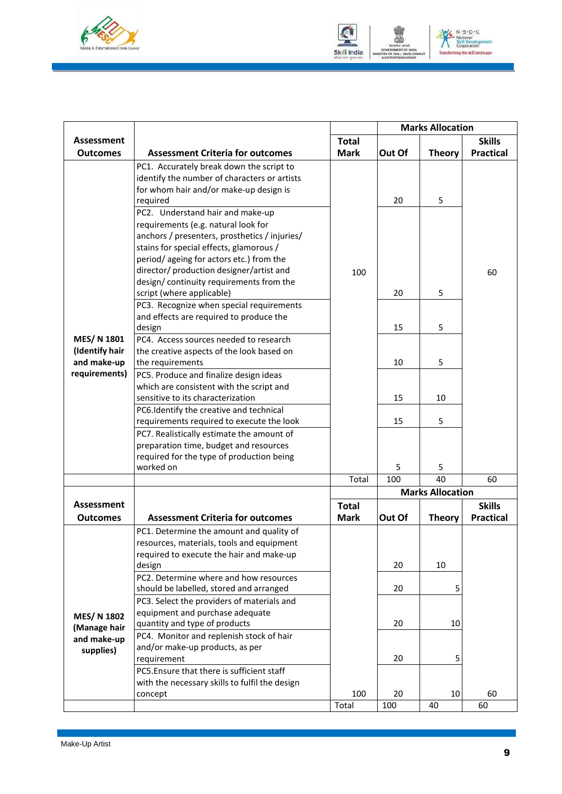



|                               |                                                                                    |              | <b>Marks Allocation</b> |                         |                  |
|-------------------------------|------------------------------------------------------------------------------------|--------------|-------------------------|-------------------------|------------------|
| Assessment                    |                                                                                    | <b>Total</b> |                         |                         | <b>Skills</b>    |
| <b>Outcomes</b>               | <b>Assessment Criteria for outcomes</b>                                            | <b>Mark</b>  | Out Of                  | <b>Theory</b>           | <b>Practical</b> |
|                               | PC1. Accurately break down the script to                                           |              |                         |                         |                  |
|                               | identify the number of characters or artists                                       |              |                         |                         |                  |
|                               | for whom hair and/or make-up design is                                             |              |                         |                         |                  |
|                               | required                                                                           |              | 20                      | 5                       |                  |
|                               | PC2. Understand hair and make-up                                                   |              |                         |                         |                  |
|                               | requirements (e.g. natural look for                                                |              |                         |                         |                  |
|                               | anchors / presenters, prosthetics / injuries/                                      |              |                         |                         |                  |
|                               | stains for special effects, glamorous /                                            |              |                         |                         |                  |
|                               | period/ageing for actors etc.) from the                                            |              |                         |                         |                  |
|                               | director/ production designer/artist and                                           | 100          |                         |                         | 60               |
|                               | design/continuity requirements from the                                            |              |                         |                         |                  |
|                               | script (where applicable)                                                          |              | 20                      | 5                       |                  |
|                               | PC3. Recognize when special requirements                                           |              |                         |                         |                  |
|                               | and effects are required to produce the                                            |              |                         |                         |                  |
|                               | design                                                                             |              | 15                      | 5                       |                  |
| <b>MES/N 1801</b>             | PC4. Access sources needed to research                                             |              |                         |                         |                  |
| (Identify hair<br>and make-up | the creative aspects of the look based on                                          |              | 10                      | 5                       |                  |
| requirements)                 | the requirements                                                                   |              |                         |                         |                  |
|                               | PC5. Produce and finalize design ideas<br>which are consistent with the script and |              |                         |                         |                  |
|                               | sensitive to its characterization                                                  |              | 15                      | 10                      |                  |
|                               | PC6.Identify the creative and technical                                            |              |                         |                         |                  |
|                               | requirements required to execute the look                                          |              | 15                      | 5                       |                  |
|                               | PC7. Realistically estimate the amount of                                          |              |                         |                         |                  |
|                               | preparation time, budget and resources                                             |              |                         |                         |                  |
|                               | required for the type of production being                                          |              |                         |                         |                  |
|                               | worked on                                                                          |              | 5                       | 5                       |                  |
|                               |                                                                                    | Total        | 100                     | 40                      | 60               |
|                               |                                                                                    |              |                         | <b>Marks Allocation</b> |                  |
| <b>Assessment</b>             |                                                                                    | <b>Total</b> |                         |                         | <b>Skills</b>    |
| <b>Outcomes</b>               | <b>Assessment Criteria for outcomes</b>                                            | <b>Mark</b>  | Out Of                  | <b>Theory</b>           | <b>Practical</b> |
|                               | PC1. Determine the amount and quality of                                           |              |                         |                         |                  |
|                               | resources, materials, tools and equipment                                          |              |                         |                         |                  |
|                               | required to execute the hair and make-up                                           |              |                         |                         |                  |
|                               | design                                                                             |              | 20                      | 10                      |                  |
|                               | PC2. Determine where and how resources                                             |              |                         |                         |                  |
|                               | should be labelled, stored and arranged                                            |              | 20                      | 5                       |                  |
|                               | PC3. Select the providers of materials and                                         |              |                         |                         |                  |
| <b>MES/N 1802</b>             | equipment and purchase adequate                                                    |              |                         |                         |                  |
| (Manage hair                  | quantity and type of products                                                      |              | 20                      | 10                      |                  |
| and make-up                   | PC4. Monitor and replenish stock of hair                                           |              |                         |                         |                  |
| supplies)                     | and/or make-up products, as per                                                    |              |                         |                         |                  |
|                               | requirement                                                                        |              | 20                      | 5                       |                  |
|                               | PC5. Ensure that there is sufficient staff                                         |              |                         |                         |                  |
|                               | with the necessary skills to fulfil the design<br>concept                          | 100          | 20                      | 10                      | 60               |
|                               |                                                                                    | Total        | 100                     | 40                      | 60               |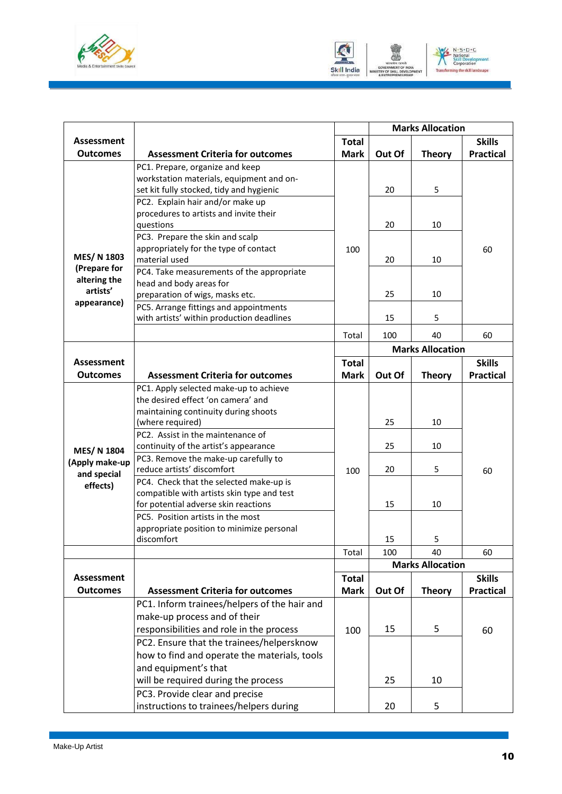



|                   |                                                                                     |              |        | <b>Marks Allocation</b> |                  |
|-------------------|-------------------------------------------------------------------------------------|--------------|--------|-------------------------|------------------|
| <b>Assessment</b> |                                                                                     | <b>Total</b> |        |                         | <b>Skills</b>    |
| <b>Outcomes</b>   | <b>Assessment Criteria for outcomes</b>                                             | <b>Mark</b>  | Out Of | <b>Theory</b>           | <b>Practical</b> |
|                   | PC1. Prepare, organize and keep                                                     |              |        |                         |                  |
|                   | workstation materials, equipment and on-                                            |              |        |                         |                  |
|                   | set kit fully stocked, tidy and hygienic                                            |              | 20     | 5                       |                  |
|                   | PC2. Explain hair and/or make up                                                    |              |        |                         |                  |
|                   | procedures to artists and invite their                                              |              |        |                         |                  |
|                   | questions                                                                           |              | 20     | 10                      |                  |
|                   | PC3. Prepare the skin and scalp                                                     |              |        |                         |                  |
| MES/ N 1803       | appropriately for the type of contact                                               | 100          |        |                         | 60               |
| (Prepare for      | material used                                                                       |              | 20     | 10                      |                  |
| altering the      | PC4. Take measurements of the appropriate                                           |              |        |                         |                  |
| artists'          | head and body areas for                                                             |              | 25     | 10                      |                  |
| appearance)       | preparation of wigs, masks etc.                                                     |              |        |                         |                  |
|                   | PC5. Arrange fittings and appointments<br>with artists' within production deadlines |              | 15     | 5                       |                  |
|                   |                                                                                     |              |        |                         |                  |
|                   |                                                                                     | Total        | 100    | 40                      | 60               |
|                   |                                                                                     |              |        | <b>Marks Allocation</b> |                  |
| <b>Assessment</b> |                                                                                     | <b>Total</b> |        |                         | <b>Skills</b>    |
| <b>Outcomes</b>   | <b>Assessment Criteria for outcomes</b>                                             | <b>Mark</b>  | Out Of | <b>Theory</b>           | <b>Practical</b> |
|                   | PC1. Apply selected make-up to achieve                                              |              |        |                         |                  |
|                   | the desired effect 'on camera' and                                                  |              |        |                         |                  |
|                   | maintaining continuity during shoots                                                |              |        |                         |                  |
|                   | (where required)                                                                    |              | 25     | 10                      |                  |
|                   | PC2. Assist in the maintenance of                                                   |              |        |                         |                  |
| <b>MES/N 1804</b> | continuity of the artist's appearance                                               |              | 25     | 10                      |                  |
| (Apply make-up    | PC3. Remove the make-up carefully to<br>reduce artists' discomfort                  |              | 20     | 5                       |                  |
| and special       | PC4. Check that the selected make-up is                                             | 100          |        |                         | 60               |
| effects)          | compatible with artists skin type and test                                          |              |        |                         |                  |
|                   | for potential adverse skin reactions                                                |              | 15     | 10                      |                  |
|                   | PC5. Position artists in the most                                                   |              |        |                         |                  |
|                   | appropriate position to minimize personal                                           |              |        |                         |                  |
|                   | discomfort                                                                          |              | 15     | 5                       |                  |
|                   |                                                                                     | Total        | 100    | 40                      | 60               |
|                   |                                                                                     |              |        | <b>Marks Allocation</b> |                  |
| <b>Assessment</b> |                                                                                     | <b>Total</b> |        |                         | <b>Skills</b>    |
| <b>Outcomes</b>   | <b>Assessment Criteria for outcomes</b>                                             | <b>Mark</b>  | Out Of | <b>Theory</b>           | <b>Practical</b> |
|                   | PC1. Inform trainees/helpers of the hair and                                        |              |        |                         |                  |
|                   | make-up process and of their                                                        |              |        |                         |                  |
|                   | responsibilities and role in the process                                            | 100          | 15     | 5                       | 60               |
|                   | PC2. Ensure that the trainees/helpersknow                                           |              |        |                         |                  |
|                   | how to find and operate the materials, tools                                        |              |        |                         |                  |
|                   | and equipment's that                                                                |              |        |                         |                  |
|                   | will be required during the process                                                 |              | 25     | 10                      |                  |
|                   | PC3. Provide clear and precise                                                      |              |        |                         |                  |
|                   | instructions to trainees/helpers during                                             |              | 20     | 5                       |                  |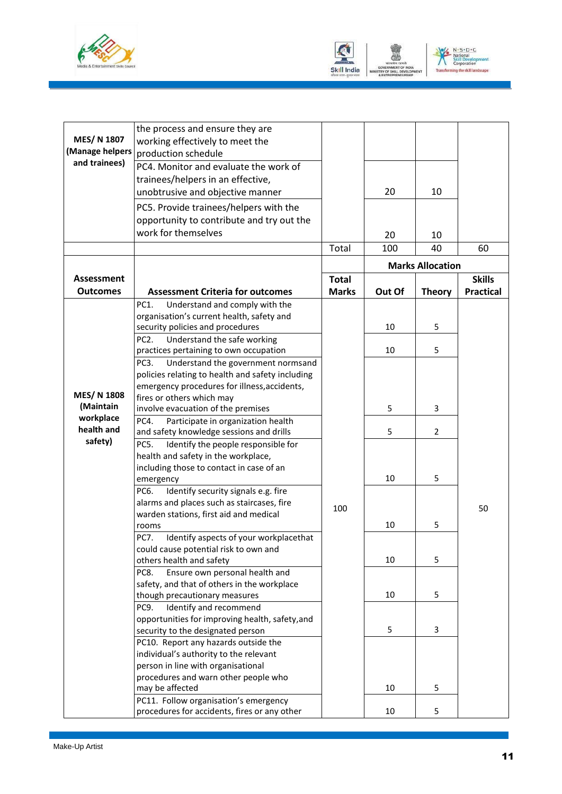



|                                  | the process and ensure they are                                                           |              |                         |               |                  |  |
|----------------------------------|-------------------------------------------------------------------------------------------|--------------|-------------------------|---------------|------------------|--|
| MES/N 1807                       | working effectively to meet the                                                           |              |                         |               |                  |  |
| (Manage helpers<br>and trainees) | production schedule                                                                       |              |                         |               |                  |  |
|                                  | PC4. Monitor and evaluate the work of                                                     |              |                         |               |                  |  |
|                                  | trainees/helpers in an effective,                                                         |              |                         |               |                  |  |
|                                  | unobtrusive and objective manner                                                          |              | 20                      | 10            |                  |  |
|                                  | PC5. Provide trainees/helpers with the                                                    |              |                         |               |                  |  |
|                                  | opportunity to contribute and try out the                                                 |              |                         |               |                  |  |
|                                  | work for themselves                                                                       |              | 20                      |               |                  |  |
|                                  |                                                                                           |              |                         | 10            |                  |  |
|                                  |                                                                                           | Total        | 100                     | 40            | 60               |  |
|                                  |                                                                                           |              | <b>Marks Allocation</b> |               |                  |  |
| <b>Assessment</b>                |                                                                                           | <b>Total</b> |                         |               | <b>Skills</b>    |  |
| <b>Outcomes</b>                  | <b>Assessment Criteria for outcomes</b>                                                   | <b>Marks</b> | Out Of                  | <b>Theory</b> | <b>Practical</b> |  |
|                                  | PC1.<br>Understand and comply with the                                                    |              |                         |               |                  |  |
|                                  | organisation's current health, safety and                                                 |              |                         |               |                  |  |
|                                  | security policies and procedures                                                          |              | 10                      | 5             |                  |  |
|                                  | PC <sub>2</sub> .<br>Understand the safe working                                          |              |                         |               |                  |  |
|                                  | practices pertaining to own occupation                                                    |              | 10                      | 5             |                  |  |
|                                  | PC <sub>3</sub> .<br>Understand the government normsand                                   |              |                         |               |                  |  |
|                                  | policies relating to health and safety including                                          |              |                         |               |                  |  |
|                                  | emergency procedures for illness, accidents,                                              |              |                         |               |                  |  |
| <b>MES/N 1808</b>                | fires or others which may                                                                 |              |                         |               |                  |  |
| (Maintain                        | involve evacuation of the premises                                                        |              | 5                       | 3             |                  |  |
| workplace<br>health and          | PC4.<br>Participate in organization health                                                |              |                         |               |                  |  |
| safety)                          | and safety knowledge sessions and drills                                                  |              | 5                       | 2             |                  |  |
|                                  | PC5.<br>Identify the people responsible for                                               |              |                         |               |                  |  |
|                                  | health and safety in the workplace,                                                       |              |                         |               |                  |  |
|                                  | including those to contact in case of an                                                  |              |                         |               |                  |  |
|                                  | emergency                                                                                 |              | 10                      | 5             |                  |  |
|                                  | Identify security signals e.g. fire<br>PC6.<br>alarms and places such as staircases, fire |              |                         |               |                  |  |
|                                  | warden stations, first aid and medical                                                    | 100          |                         |               | 50               |  |
|                                  | rooms                                                                                     |              | 10                      | 5             |                  |  |
|                                  | <b>PC7.</b><br>Identify aspects of your workplacethat                                     |              |                         |               |                  |  |
|                                  | could cause potential risk to own and                                                     |              |                         |               |                  |  |
|                                  | others health and safety                                                                  |              | 10                      | 5             |                  |  |
|                                  | PC8.<br>Ensure own personal health and                                                    |              |                         |               |                  |  |
|                                  | safety, and that of others in the workplace                                               |              |                         |               |                  |  |
|                                  | though precautionary measures                                                             |              | 10                      | 5             |                  |  |
|                                  | PC9.<br>Identify and recommend                                                            |              |                         |               |                  |  |
|                                  | opportunities for improving health, safety, and                                           |              |                         |               |                  |  |
|                                  | security to the designated person                                                         |              | 5                       | 3             |                  |  |
|                                  | PC10. Report any hazards outside the                                                      |              |                         |               |                  |  |
|                                  | individual's authority to the relevant                                                    |              |                         |               |                  |  |
|                                  | person in line with organisational                                                        |              |                         |               |                  |  |
|                                  | procedures and warn other people who                                                      |              |                         |               |                  |  |
|                                  | may be affected                                                                           |              | 10                      | 5             |                  |  |
|                                  | PC11. Follow organisation's emergency                                                     |              |                         |               |                  |  |
|                                  | procedures for accidents, fires or any other                                              |              | 10                      | 5             |                  |  |